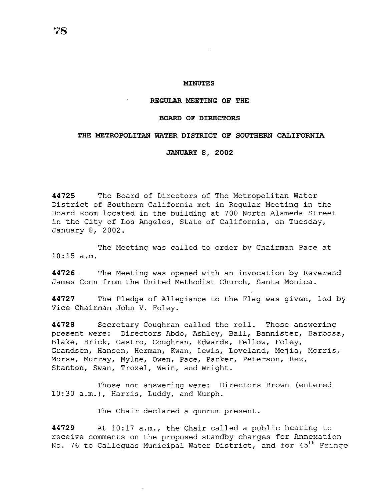#### **MINUTES**

### **REGULAR MEETING OF THE**

### **BOARD OF DIRECTORS**

## **THE METROPOLITAN WATER DISTRICT OF SOUTHERN CALIFORNIA**

#### **JANUARY 8, 2002**

**44725** The Board of Directors of The Metropolitan Water District of Southern California met in Regular Meeting in the Board Room located in the building at 700 North Alameda Street in the City of Los Angeles, State of California, on Tuesday, January 8, 2002.

The Meeting was called to order by Chairman Pace at  $10:15$  a.m.

**44726** . The Meeting was opened with an invocation by Reverend James Conn from the United Methodist Church, Santa Monica.

**44727** The Pledge of Allegiance to the Flag was given, led by Vice Chairman John V. Foley.

**44728** Secretary Coughran called the roll. Those answering present were: Directors Abdo, Ashley, Ball, Bannister, Barbosa, Blake, Brick, Castro, Coughran, Edwards, Fellow, Foley, Grandsen, Hansen, Herman, Kwan, Lewis, Loveland, Mejia, Morris, Morse, Murray, Mylne, Owen, Pace, Parker, Peterson, Rez, Stanton, Swan, Troxel, Wein, and Wright.

Those not answering were: Directors Brown (entered 10:30 a.m.), Harris, Luddy, and Murph.

The Chair declared a quorum present.

**44729** At 10:17 a.m., the Chair called a public hearing to receive comments on the proposed standby charges for Annexation No. 76 to Calleguas Municipal Water District, and for 45<sup>th</sup> Fringe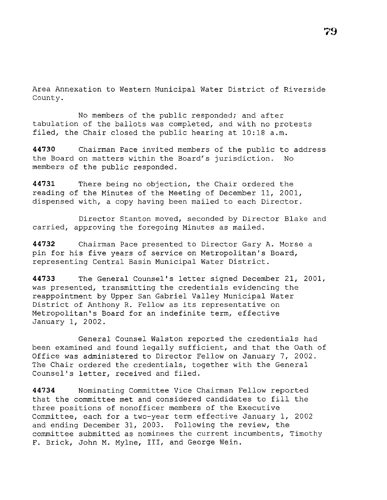Area Annexation to Western Municipal Water District of Riverside County.

No members of the public responded; and after tabulation of the ballots was completed, and with no protests filed, the Chair closed the public hearing at 10:18 a.m.

**44730** Chairman Pace invited members of the public to address the Board on matters within the Board's jurisdiction. No members of the public responded.

**44731** There being no objection, the Chair ordered the reading of the Minutes of the Meeting of December 11, 2001, dispensed with, a copy having been mailed to each Director.

Director Stanton moved, seconded by Director Blake and carried, approving the foregoing Minutes as mailed.

**44732** Chairman Pace presented to Director Gary A. Morse a pin for his five years of service on Metropolitan's Board, representing Central Basin Municipal Water District.

**44733** The General Counsel's letter signed December 21, 2001, was presented, transmitting the credentials evidencing the reappointment by Upper San Gabriel Valley Municipal Water District of Anthony R. Fellow as its representative on Metropolitan's Board for an indefinite term, effective January 1, 2002.

General Counsel Walston reported the credentials had been examined and found legally sufficient, and that the Oath of Office was administered to Director Fellow on January 7, 2002. The Chair ordered the credentials, together with the General Counsel's letter, received and filed.

**44734** Nominating Committee Vice Chairman Fellow reported that the committee met and considered candidates to fill the three positions of nonofficer members of the Executive Committee, each for a two-year term effective January 1, 2002 and ending December 31, 2003. Following the review, the committee submitted as nominees the current incumbents, Timothy F. Brick, John M. Mylne, III, and George Wein.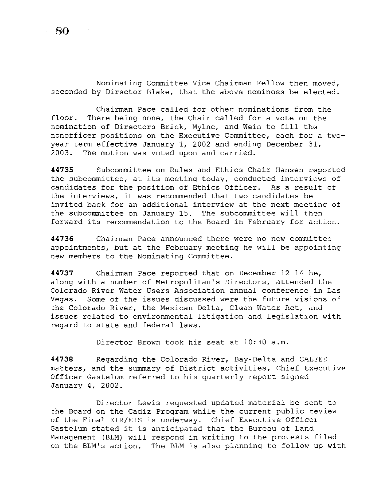Nominating Committee Vice Chairman Fellow then moved, seconded by Director Blake, that the above nominees be elected.

Chairman Pace called for other nominations from the floor. There being none, the Chair called for a vote on the nomination of Directors Brick, Mylne, and Wein to fill the nonofficer positions on the Executive Committee, each for a twoyear term effective January 1, 2002 and ending December 31, 2003. The motion was voted upon and carried.

**44735** Subcommittee on Rules and Ethics Chair Hansen reported the subcommittee, at its meeting today, conducted interviews of candidates for the position of Ethics Officer. As a result of candidates for the position of Ethics Officer. the interviews, it was recommended that two candidates be invited back for an additional interview at the next meeting of the subcommittee on January 15. The subcommittee will then forward its recommendation to the Board in February for action.

**44736** Chairman Pace announced there were no new committee appointments, but at the February meeting he will be appointing new members to the Nominating Committee.

**44737** Chairman Pace reported that on December 12-14 he, along with a number of Metropolitan's Directors, attended the Colorado River Water Users Association annual conference in Las Vegas. Some of the issues discussed were the future visions of the Colorado River, the Mexican Delta, Clean Water Act, and issues related to environmental litigation and legislation with regard to state and federal laws.

Director Brown took his seat at 10:30 a.m.

**44738** Regarding the Colorado River, Bay-Delta and CALFED matters, and the summary of District activities, Chief Executive Officer Gastelum referred to his quarterly report signed January 4, 2002.

Director Lewis requested updated material be sent to the Board on the Cadiz Program while the current public review of the Final EIR/EIS is underway. Chief Executive Officer Gastelum stated it is anticipated that the Bureau of Land Management (BLM) will respond in writing to the protests filed on the BLM's action. The BLM is also planning to follow up with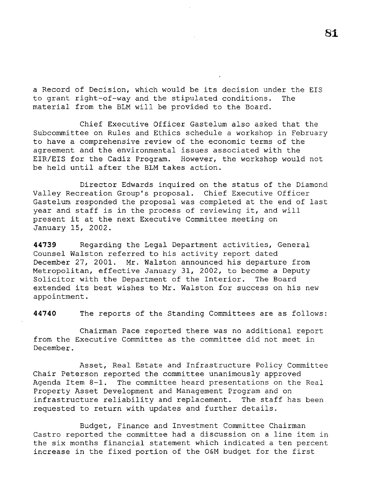a Record of Decision, which would be its decision under the EIS to grant right-of-way and the stipulated conditions. The material from the BLM will be provided to the Board.

Chief Executive Officer Gastelum also asked that the Subcommittee on Rules and Ethics schedule a workshop in February to have a comprehensive review of the economic terms of the agreement and the environmental issues associated with the EIR/EIS for the Cadiz Program. However, the workshop would not be held until after the BLM takes action.

Director Edwards inquired on the status of the Diamond Valley Recreation Group's proposal. Chief Executive Officer Gastelum responded the proposal was completed at the end of last year and staff is in the process of reviewing it, and will present it at the next Executive Committee meeting on January 15, 2002.

**44739** Regarding the Legal Department activities, General Counsel Walston referred to his activity report dated December 27, 2001. Mr. Walston announced his departure from Metropolitan, effective January 31, 2002, to become a Deputy Solicitor with the Department of the Interior. The Board extended its best wishes to Mr. Walston for success on his new appointment.

**44740** The reports of the Standing Committees are as follows:

Chairman Pace reported there was no additional report from the Executive Committee as the committee did not meet in December.

Asset, Real Estate and Infrastructure Policy Committee Chair Peterson reported the committee unanimously approved Agenda Item 8-1. The committee heard presentations on the Real Property Asset Development and Management Program and on infrastructure reliability and replacement. The staff has been requested to return with updates and further details.

Budget, Finance and Investment Committee Chairman Castro reported the committee had a discussion on a line item in the six months financial statement which indicated a ten percent increase in the fixed portion of the O&M budget for the first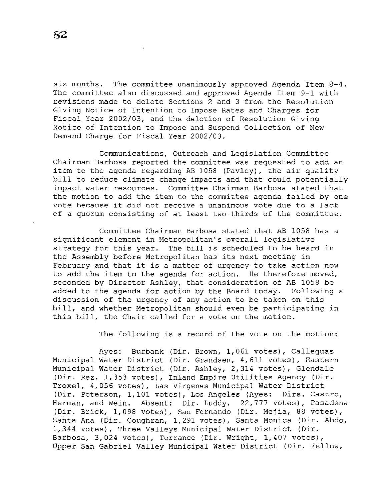six months. The committee unanimously approved Agenda Item 8-4. The committee also discussed and approved Agenda Item 9-1 with revisions made to delete Sections 2 and 3 from the Resolution Giving Notice of Intention to Impose Rates and Charges for Fiscal Year 2002/03, and the deletion of Resolution Giving Notice of Intention to Impose and Suspend Collection of New Demand Charge for Fiscal Year 2002/03.

Communications, Outreach and Legislation Committee Chairman Barbosa reported the committee was requested to add an item to the agenda regarding AB 1058 (Pavley), the air quality bill to reduce climate change impacts and that could potentially impact water resources. Committee Chairman Barbosa stated that the motion to add the item to the committee agenda failed by one vote because it did not receive a unanimous vote due to a lack of a quorum consisting of at least two-thirds of the committee.

Committee Chairman Barbosa stated that AB 1058 has a significant element in Metropolitan's overall legislative strategy for this year. The bill is scheduled to be heard in the Assembly before Metropolitan has its next meeting in February and that it is a matter of urgency to take action now to add the item to the agenda for action. He therefore moved, seconded by Director Ashley, that consideration of AB 1058 be added to the agenda for action by the Board today. Following a discussion of the urgency of any action to be taken on this bill, and whether Metropolitan should even be participating in this bill, the Chair called for a vote on the motion.

The following *is* a record of the vote on the motion:

Ayes: Burbank (Dir. Brown, 1,061 votes), Calleguas Municipal Water District (Dir. Grandsen, 4,611 votes), Eastern Municipal Water District (Dir. Ashley, 2,314 votes), Glendale (Dir. Rez, 1,353 votes), Inland Empire Utilities Agency (Dir. Troxel, 4,056 votes), Las Virgenes Municipal Water District (Dir. Peterson, 1,101 votes), Los Angeles (Ayes: Dirs. Castro, Herman, and Wein. Absent: Dir. Luddy. 22,777 votes), Pasadena (Dir. Brick, 1,098 votes), San Fernando (Dir. Mejia, 88 votes), Santa Ana (Dir. Coughran, 1,291 votes), Santa Monica (Dir. Abdo, 1,344 votes), Three Valleys Municipal Water District (Dir. Barbosa, 3,024 votes), Torrance (Dir. Wright, 1,407 votes), Upper San Gabriel Valley Municipal Water District (Dir. Fellow,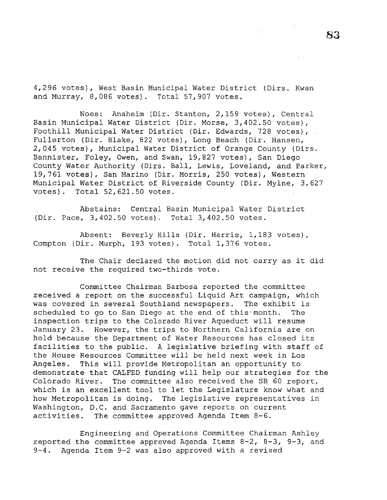4,296 votes), West Basin Municipal Water District (Dirs. Kwan and Murray, 8,086 votes). Total 57,907 votes.

Noes: Anaheim (Dir. Stanton, 2,159 votes), Central Basin Municipal Water District (Dir. Morse, 3,402.50 votes), Foothill Municipal Water District (Dir. Edwards, 728 votes), Fullerton (Dir. Blake, 822 votes), Long Beach (Dir. Hansen, 2,045 votes), Municipal Water District of Orange County (Dirs. Bannister, Foley, Owen, and Swan, 19,827 votes), San Diego County Water Authority (Dirs. Ball, Lewis, Loveland, and Parker, 19,761 votes), San Marino (Dir. Morris, 250 votes), Western Municipal Water District of Riverside County (Dir. Mylne, 3,627 votes). Total 52,621.50 votes.

Abstains: Central Basin Municipal Water District (Dir. Pace, 3,402.50 votes). Total 3,402.50 votes.

Absent: Beverly Hills (Dir. Harris, 1,183 votes), Compton (Dir. Murph, 193 votes). Total 1,376 votes.

The Chair declared the motion did not carry as it did not receive the required two-thirds vote.

Committee Chairman Barbosa reported the committee received a report on the successful Liquid Art campaign, which was covered in several Southland newspapers. The exhibit is scheduled to go to San Diego at the end of this·month. The inspection trips to the Colorado River Aqueduct will resume January 23. However, the trips to Northern California are on hold because the Department of Water Resources has closed its facilities to the public. A legislative briefing with staff of the House Resources Committee will be held next week in Los Angeles. This will provide Metropolitan an opportunity to demonstrate that CALFED funding will help our strategies for the Colorado River. The committee also received the SB 60 report, which is an excellent tool to let the Legislature know what and how Metropolitan is doing. The legislative representatives in Washington, D.C. and Sacramento gave reports on current activities. The committee approved Agenda Item 8-6.

Engineering and Operations Committee Chairman Ashley reported the committee approved Agenda Items 8-2, 8-3, 9-3, and 9-4. Agenda Item 9-2 was also approved with a revised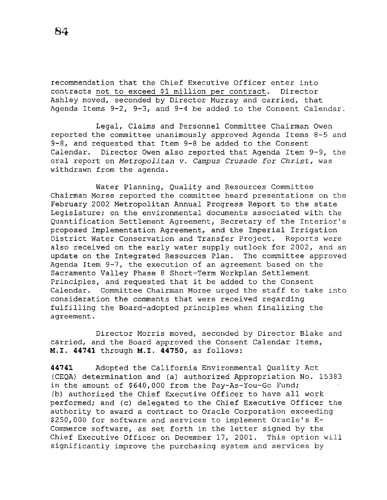recommendation that the Chief Executive Officer enter into contracts not to exceed \$1 million per contract. Director Ashley moved, seconded by Director Murray and carried, that Agenda Items  $9-2$ ,  $9-3$ , and  $9-4$  be added to the Consent Calendar.

Legal, Claims and Personnel Committee Chairman Owen reported the committee unanimously approved Agenda Items 8-5 and 9-8, and requested that Item 9-8 be added to the Consent Calendar. Director Owen also reported that Agenda Item 9-9, the oral report on *Metropolitan v. Campus Crusade for Christ,* was withdrawn from the agenda.

Water Planning, Quality and Resources Committee Chairman Morse reported the committee heard presentations on the February 2002 Metropolitan Annual Progress Report to the state Legislature; on the environmental documents associated with the Quantification Settlement Agreement, Secretary of the Interior's proposed Implementation Agreement, and the Imperial Irrigation District Water Conservation and Transfer Project. Reports were also received on the early water supply outlook for 2002, and an update on the Integrated Resources Plan. The committee approved Agenda Item 9-7, the execution of an agreement based on the Sacramento Valley Phase 8 Short-Term Workplan Settlement Principles, and requested that it be added to the Consent Calendar. Committee Chairman Morse urged the staff to take into consideration the comments that were received regarding fulfilling the Board-adopted principles when finalizing the agreement.

Director Morris moved, seconded by Director Blake and carried, and the Board approved the Consent Calendar Items, M.I. **44741** through M.I. **44750,** as follows:

**44741** Adopted the California Environmental Quality Act (CEQA) determination and (a) authorized Appropriation No. 15383 in the amount of \$640,000 from the Pay-As-You-Go Fund; (b) authorized the Chief Executive Officer to have all work performed; and (c) delegated to the Chief Executive Officer the authority to award a contract to Oracle Corporation exceeding \$250,000 for software and services to implement Oracle's E-Commerce software, as set forth in the letter signed by the Chief Executive Officer on December 17, 2001. This option will significantly improve the purchasing system and services by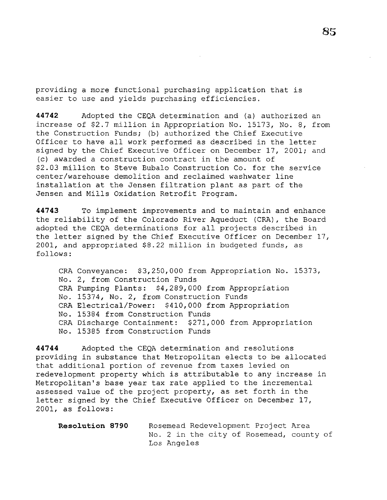providing a more functional purchasing application that *is*  easier to use and yields purchasing efficiencies.

**44742** Adopted the CEQA determination and (a) authorized an increase of \$2.7 million in Appropriation No. 15173, No. 8, from the Construction Funds; (b) authorized the Chief Executive Officer to have all work performed as described in the letter signed by the Chief Executive Officer on December 17, 2001; and (c) awarded a construction contract in the amount of \$2.03 million to Steve Bubalo Construction Co. for the service center/warehouse demolition and reclaimed washwater line installation at the Jensen filtration plant as part of the Jensen and Mills Oxidation Retrofit Program.

**44743** To implement improvements and to maintain and enhance the reliability of the Colorado River Aqueduct (CRA), the Board adopted the CEQA determinations for all projects described in the letter signed by the Chief Executive Officer on December 17, 2001, and appropriated \$8.22 million in budgeted funds, as follows:

CRA Conveyance: \$3,250,000 from Appropriation No. 15373, No. 2, from Construction Funds CRA Pumping Plants: \$4,289,000 from Appropriation No. 15374, No. 2, from Construction Funds CRA Electrical/Power: \$410,000 from Appropriation No. 15384 from Construction Funds CRA Discharge Containment: \$271,000 from Appropriation No. 15385 from Construction Funds

**44744** Adopted the CEQA determination and resolutions providing in substance that Metropolitan elects to be allocated that additional portion of revenue from taxes levied on redevelopment property which is attributable to any increase in Metropolitan's base year tax rate applied to the incremental assessed value of the project property, as set forth in the letter signed by the Chief Executive Officer on December 17, 2001, as follows:

| <b>Resolution 8790</b> |             |  |  | Rosemead Redevelopment Project Area |  |  |                                          |  |
|------------------------|-------------|--|--|-------------------------------------|--|--|------------------------------------------|--|
|                        |             |  |  |                                     |  |  | No. 2 in the city of Rosemead, county of |  |
|                        | Los Angeles |  |  |                                     |  |  |                                          |  |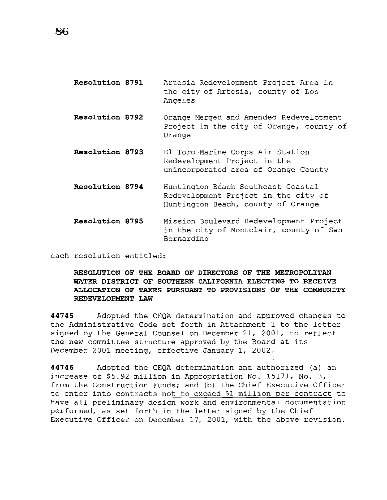- **Resolution 8791**  Artesia Redevelopment Project Area in the city of Artesia, county of Los Angeles
- **Resolution 8792**  Orange Merged and Amended Redevelopment Project in the city of Orange, county of Orange
- **Resolution 8793**  El Taro-Marine Corps Air Station Redevelopment Project in the unincorporated area of Orange County
- **Resolution 8794**  Huntington Beach Southeast Coastal Redevelopment Project in the city of Huntington Beach, county of Orange
- **Resolution 8795**  Mission Boulevard Redevelopment Project in the city of Montclair, county of San Bernardino

each resolution entitled:

**RESOLUTION OF THE BOARD OF DIRECTORS OF THE METROPOLITAN WATER DISTRICT OF SOUTHERN CALIFORNIA ELECTING TO RECEIVE ALLOCATION OF TAXES PURSUANT TO PROVISIONS OF THE COMMUNITY REDEVELOPMENT LAW** 

**44745** Adopted the CEQA determination and approved changes to the Administrative Code set forth in Attachment 1 to the letter signed by the General Counsel on December 21, 2001, to reflect the new committee structure approved by the Board at its December 2001 meeting, effective January 1, 2002.

**44746** Adopted the CEQA determination and authorized (a) an increase of \$5.92 million in Appropriation No. 15171, No. 3, from the Construction Funds; and (b) the Chief Executive Officer to enter into contracts not to exceed \$1 million per contract to have all preliminary design work and environmental documentation performed, as set forth in the letter signed by the Chief Executive Officer on December 17, 2001, with the above revision.

**86**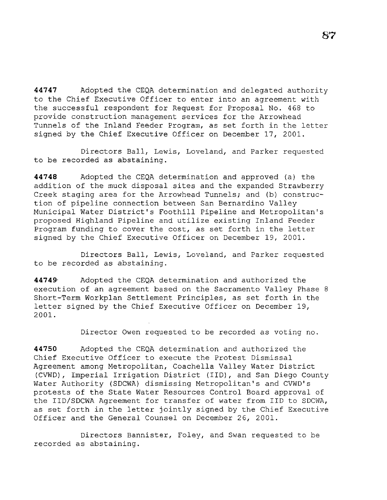**44747** Adopted the CEQA determination and delegated authority to the Chief Executive Officer to enter into an agreement with the successful respondent for Request for Proposal No. 468 to provide construction management services for the Arrowhead Tunnels of the Inland Feeder Program, as set forth in the letter signed by the Chief Executive Officer on December 17, 2001.

Directors Ball, Lewis, Loveland, and Parker requested to be recorded as abstaining.

**44748** Adopted the CEQA determination and approved (a) the addition of the muck disposal sites and the expanded Strawberry Creek staging area for the Arrowhead Tunnels; and (b) construction of pipeline connection between San Bernardino Valley Municipal Water District's Foothill Pipeline and Metropolitan's proposed Highland Pipeline and utilize existing Inland Feeder Program funding to cover the cost, as set forth in the letter signed by the Chief Executive Officer on December 19, 2001.

Directors Ball, Lewis, Loveland, and Parker requested to be recorded as abstaining.

**44749·** Adopted the CEQA determination and authorized the execution of an agreement based on the Sacramento Valley Phase 8 Short-Term Workplan Settlement Principles, as set forth in the letter signed by the Chief Executive Officer on December 19, 2001.

Director Owen requested to be recorded as voting no.

**44750** Adopted the CEQA determination and authorized the Chief Executive Officer to execute the Protest Dismissal Agreement among Metropolitan, Coachella Valley Water District (CVWD), Imperial Irrigation District (IID), and San Diego County Water Authority (SDCWA) dismissing Metropolitan's and CVWD's protests of the State Water Resources Control Board approval of the IID/SDCWA Agreement for transfer of water from IID to SDCWA, as set forth in the letter jointly signed by the Chief Executive Officer and the General Counsel on December 26, 2001.

Directors Bannister, Foley, and Swan requested to be recorded as abstaining.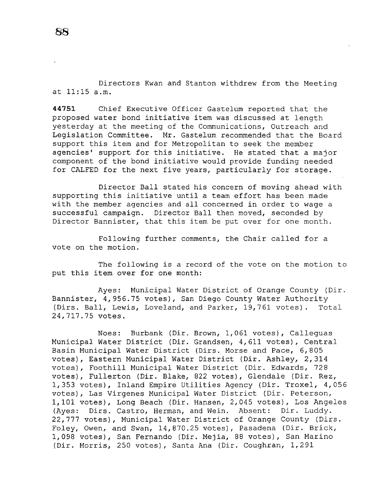Directors Kwan and Stanton withdrew from the Meeting at 11:15 a.m.

**44751** Chief Executive Officer Gastelum reported that the proposed water bond initiative item was discussed at length yesterday at the meeting of the Communications, Outreach and Legislation Committee. Mr. Gastelum recommended that the Board support this item and for Metropolitan to seek the member agencies' support for this initiative. He stated that a major component of the bond initiative would provide funding needed for CALFED for the next five years, particularly for storage.

Director Ball stated his concern of moving ahead with supporting this initiative until a team effort has been made with the member agencies and all concerned in order to wage a successful campaign. Director Ball then moved, seconded by Director Bannister, that this item be put over for one month.

Following further comments, the Chair called for a vote on the motion.

The following is a record of the vote on the motion to put this item over for one month:

Ayes: Municipal Water District of Orange County (Dir. Bannister, 4,956.75 votes), San Diego County Water Authority (Dirs. Ball, Lewis, Loveland, and Parker, 19,761 votes). Total 24,717.75 votes.

Noes: Burbank (Dir. Brown, 1,061 votes), Calleguas Municipal Water District (Dir. Grandsen, 4,611 votes), Central Basin Municipal Water District (Dirs. Morse and Pace, 6,805 votes), Eastern Municipal Water District (Dir. Ashley, 2,314 votes), Foothill Municipal Water District (Dir. Edwards, 728 votes), Fullerton (Dir. Blake, 822 votes), Glendale (Dir. Rez, 1,353 votes), Inland Empire Utilities Agency (Dir. Troxel, 4,056 votes), Las Virgenes Municipal Water District (Dir. Peterson, 1,101 votes), Long Beach (Dir. Hansen, 2,045 votes), Los Angeles (Ayes: Dirs. Castro, Herman, and Wein. Absent: Dir. Luddy. 22,777 votes), Municipal Water District of Orange County (Dirs. Foley, Owen, and Swan, 14,870.25 votes), Pasadena (Dir. Brick, 1,098 votes), San Fernando (Dir. Mejia, 88 votes), San Marino (Dir. Morris, 250 votes), Santa Ana (Dir. Coughran, 1,291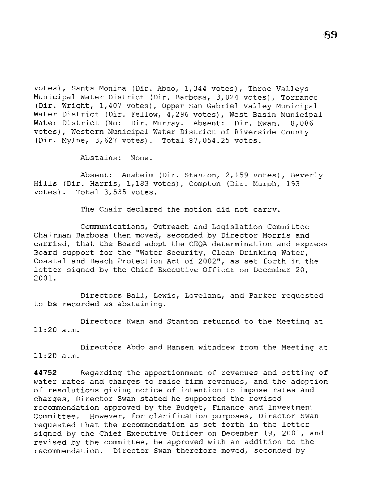votes), Santa Monica (Dir. Abdo, 1,344 votes), Three Valleys Municipal Water District (Dir. Barbosa, 3,024 votes), Torrance (Dir. Wright, 1,407 votes), Upper San Gabriel Valley Municipal Water District (Dir. Fellow, 4,296 votes), West Basin Municipal Water District (No: Dir. Murray. Absent: Dir. Kwan. 8,086 votes), Western Municipal Water District of Riverside County (Dir. Mylne, 3,627 votes). Total 87,054.25 votes.

Abstains: None.

Absent: Anaheim (Dir. Stanton, 2,159 votes), Beverly Hills (Dir. Harris, 1,183 votes), Compton (Dir. Murph, 193 votes). Total 3,535 votes.

The Chair declared the motion did not carry.

Communications, Outreach and Legislation Committee Chairman Barbosa then moved, seconded by Director Morris and carried, that the Board adopt the CEQA determination and express Board support for the ''Water Security, Clean Drinking Water, Coastal and Beach Protection Act of 2002'', as set forth in the letter signed by the Chief Executive Officer on December 20, 2001.

Directors Ball, Lewis, Loveland, and Parker requested to be recorded as abstaining.

Directors Kwan and Stanton returned to the Meeting at 11:20 a.m.

Directors Abdo and Hansen withdrew from the Meeting at 11:20 a.m.

**44752** Regarding the apportionment of revenues and setting of water rates and charges to raise firm revenues, and the adoption of resolutions giving notice of intention to impose rates and charges, Director Swan stated he supported the revised recommendation approved by the Budget, Finance and Investment Committee. However, for clarification purposes, Director Swan requested that the recommendation as set forth in the letter signed by the Chief Executive Officer on December 19, 2001, and revised by the committee, be approved with an addition to the recommendation. Director Swan therefore moved, seconded by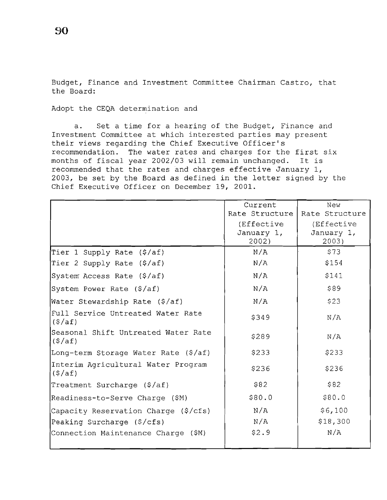Budget, Finance and Investment Committee Chairman Castro, that the Board:

Adopt the CEQA determination and

a. Set a time for a hearing of the Budget, Finance and Investment Committee at which interested parties may present their views regarding the Chief Executive Officer's recommendation. The water rates and charges for the first six<br>months of fiscal vear 2002/03 will remain unchanged. It is months of fiscal year 2002/03 will remain unchanged. recommended that the rates and charges effective January 1, 2003, be set by the Board as defined in the letter signed by the Chief Executive Officer on December 19, 2001.

|                                                          | Current        | New            |
|----------------------------------------------------------|----------------|----------------|
|                                                          | Rate Structure | Rate Structure |
|                                                          | (Effective     | (Effective     |
|                                                          | January 1,     | January 1,     |
|                                                          | 2002)          | 2003)          |
| Tier 1 Supply Rate (\$/af)                               | N/A            | \$73           |
| Tier 2 Supply Rate (\$/af)                               | N/A            | \$154          |
| System Access Rate (\$/af)                               | N/A            | \$141          |
| System Power Rate (\$/af)                                | N/A            | \$89           |
| Water Stewardship Rate (\$/af)                           | N/A            | \$23           |
| Full Service Untreated Water Rate<br>$(\frac{\xi}{a}f)$  | \$349          | N/A            |
| Seasonal Shift Untreated Water Rate<br>$($ \$/af)        | \$289          | N/A            |
| Long-term Storage Water Rate (\$/af)                     | \$233          | \$233          |
| Interim Agricultural Water Program<br>$(\frac{\xi}{a}f)$ | \$236          | \$236          |
| Treatment Surcharge (\$/af)                              | \$82           | \$82           |
| Readiness-to-Serve Charge (\$M)                          | \$80.0         | \$80.0         |
| Capacity Reservation Charge (\$/cfs)                     | N/A            | \$6,100        |
| Peaking Surcharge (\$/cfs)                               | N/A            | \$18,300       |
| Connection Maintenance Charge (\$M)                      | \$2.9          | N/A            |
|                                                          |                |                |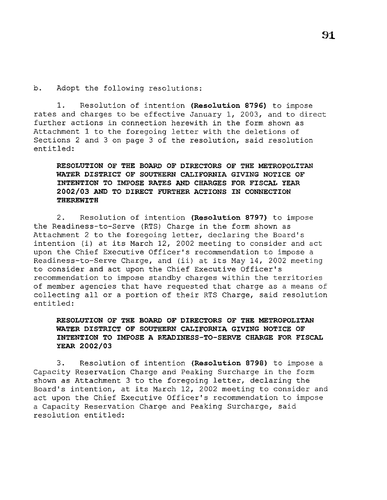b. Adopt the following resolutions:

1. Resolution of intention **(Resolution 8796)** to impose rates and charges to be effective January 1, 2003, and to direct further actions in connection herewith in the form shown as Attachment 1 to the foregoing letter with the deletions of Sections 2 and 3 on page 3 of the resolution, said resolution entitled:

**RESOLUTION OF THE BOARD OF DIRECTORS OF THE METROPOLITAN WATER DISTRICT OF SOUTHERN CALIFORNIA GIVING NOTICE OF INTENTION TO IMPOSE RATES AND CHARGES FOR FISCAL YEAR 2002/03 AND TO DIRECT FURTHER ACTIONS IN CONNECTION THEREWITH** 

2. Resolution of intention **(Resolution 8797)** to impose the Readiness-to-Serve (RTS) Charge in the form shown as Attachment 2 to the foregoing letter, declaring the Board's intention (i) at its March 12, 2002 meeting to consider and act upon the Chief Executive Officer's recommendation to impose a Readiness-to-Serve Charge, and (ii) at its May 14, 2002 meeting to consider and act upon the Chief Executive Officer's recommendation to impose standby charges within the territories of member agencies that have requested that charge as a means of collecting all or a portion of their RTS Charge, said resolution entitled:

# **RESOLUTION OF THE BOARD OF DIRECTORS OF THE METROPOLITAN WATER DISTRICT OF SOUTHERN CALIFORNIA GIVING NOTICE OF INTENTION TO IMPOSE A READINESS-TO-SERVE CHARGE FOR FISCAL YEAR 2002/03**

3. Resolution of intention **(Resolution 8798)** to impose a Capacity Reservation Charge and Peaking Surcharge in the form shown as Attachment 3 to the foregoing letter, declaring the Board's intention, at its March 12, 2002 meeting to consider and act upon the Chief Executive Officer's recommendation to impose a Capacity Reservation Charge and Peaking Surcharge, said resolution entitled: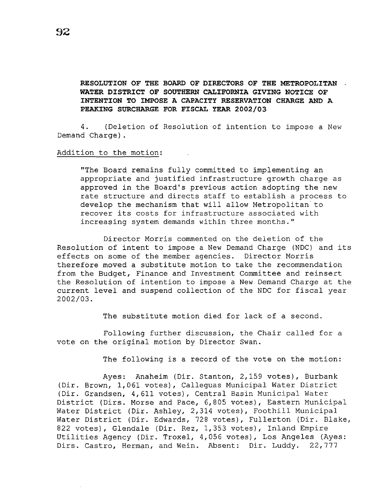# **RESOLUTION OF THE BOARD OF DIRECTORS OF THE METROPOLITAN WATER DISTRICT OF SOUTHERN CALIFORNIA GIVING NOTICE OF INTENTION TO IMPOSE A CAPACITY RESERVATION CHARGE AND A PEAKING SURCHARGE FOR FISCAL YEAR 2002/03**

4. (Deletion of Resolution of intention to impose a New Demand Charge).

## Addition to the motion:

"The Board remains fully committed to implementing an appropriate and justified infrastructure growth charge as approved in the Board's previous action adopting the new rate structure and directs staff to establish a process to develop the mechanism that will allow Metropolitan to recover its costs for infrastructure associated with increasing system demands within three months.''

Director Morris commented on the deletion of the Resolution of intent to impose a New Demand Charge (NDC) and its effects on some of the member agencies. Director Morris therefore moved a substitute motion to take the recommendation from the Budget, Finance and Investment Committee and reinsert the Resolution of intention to impose a New Demand Charge at the current level and suspend collection of the NDC for fiscal year 2002/03.

The substitute motion died for lack of a second.

Following further discussion, the Chair called for a vote on the original motion by Director Swan.

The following is a record of the vote on the motion:

Ayes: Anaheim (Dir. Stanton, 2,159 votes), Burbank (Dir. Brown, 1,061 votes), Calleguas Municipal Water District (Dir. Grandsen, 4,611 votes), Central Basin Municipal Water District (Dirs. Morse and Pace, 6,805 votes), Eastern Municipal Water District (Dir. Ashley, 2,314 votes), Foothill Municipal Water District (Dir. Edwards, 728 votes), Fullerton (Dir. Blake, 822 votes), Glendale (Dir. Rez, 1,353 votes), Inland Empire Utilities Agency (Dir. Troxel, 4,056 votes), Los Angeles (Ayes: Dirs. Castro, Herman, and Wein. Absent: Dir. Luddy. 22,777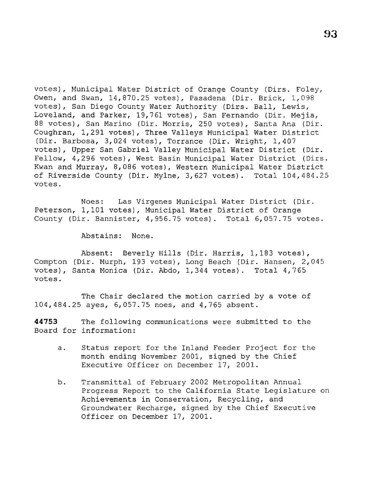votes), Municipal Water District of Orange County (Dirs. Foley, Owen, and Swan, 14,870.25 votes), Pasadena (Dir. Brick, 1,098 votes), San Diego County Water Authority (Dirs. Ball, Lewis, Loveland, and Parker, 19,761 votes), San Fernando (Dir. Mejia, 88 votes), San Marino (Dir. Morris, 250 votes), Santa Ana (Dir. Coughran, 1,291 votes), Three Valleys Municipal Water District (Dir. Barbosa, 3,024 votes), Torrance (Dir. Wright, 1,407 votes), Upper San Gabriel Valley Municipal Water District (Dir. Fellow, 4,296 votes), West Basin Municipal Water District (Dirs. Kwan and Murray, 8,086 votes), Western Municipal Water District of Riverside County (Dir. Mylne, 3,627 votes). Total 104,484.25 votes.

Noes: Las Virgenes Municipal Water District (Dir. Peterson, 1,101 votes), Municipal Water District of Orange County (Dir. Bannister, 4,956.75 votes). Total 6,057.75 votes.

Abstains: None.

Absent: Beverly Hills (Dir. Harris, 1,183 votes), Compton (Dir. Murph, 193 votes), Long Beach (Dir. Hansen, 2,045 votes), Santa Monica (Dir. Abdo, 1,344 votes). Total 4,765 votes.

The Chair declared the motion carried by a vote of 104,484.25 ayes, 6,057.75 noes, and 4,765 absent.

**44753** The following communications were submitted to the Board for information:

- a. Status report for the Inland Feeder Project for the month ending November 2001, signed by the Chief Executive Officer on December 17, 2001.
- b. Transmittal of February 2002 Metropolitan Annual Progress Report to the California State Legislature on Achievements in Conservation, Recycling, and Groundwater Recharge, signed by the Chief Executive Officer on December 17, 2001.